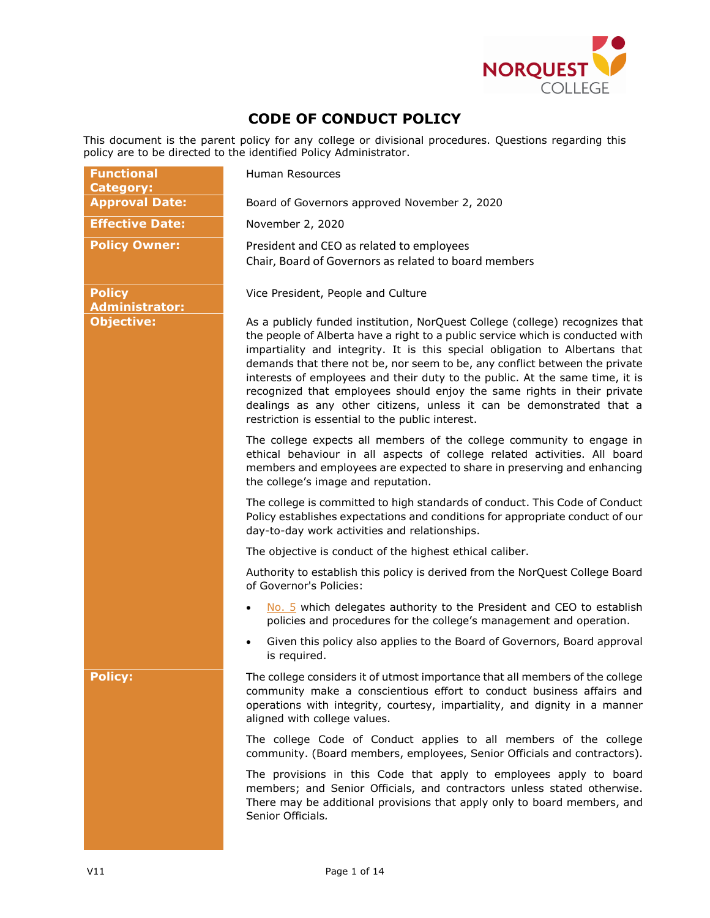

# **CODE OF CONDUCT POLICY**

This document is the parent policy for any college or divisional procedures. Questions regarding this policy are to be directed to the identified Policy Administrator.

| <b>Functional</b><br><b>Category:</b>  | Human Resources                                                                                                                                                                                                                                                                                                                                                                                                                                                                                                                                                                                                     |  |  |
|----------------------------------------|---------------------------------------------------------------------------------------------------------------------------------------------------------------------------------------------------------------------------------------------------------------------------------------------------------------------------------------------------------------------------------------------------------------------------------------------------------------------------------------------------------------------------------------------------------------------------------------------------------------------|--|--|
| <b>Approval Date:</b>                  | Board of Governors approved November 2, 2020                                                                                                                                                                                                                                                                                                                                                                                                                                                                                                                                                                        |  |  |
| <b>Effective Date:</b>                 | November 2, 2020                                                                                                                                                                                                                                                                                                                                                                                                                                                                                                                                                                                                    |  |  |
| <b>Policy Owner:</b>                   | President and CEO as related to employees<br>Chair, Board of Governors as related to board members                                                                                                                                                                                                                                                                                                                                                                                                                                                                                                                  |  |  |
| <b>Policy</b><br><b>Administrator:</b> | Vice President, People and Culture                                                                                                                                                                                                                                                                                                                                                                                                                                                                                                                                                                                  |  |  |
| <b>Objective:</b>                      | As a publicly funded institution, NorQuest College (college) recognizes that<br>the people of Alberta have a right to a public service which is conducted with<br>impartiality and integrity. It is this special obligation to Albertans that<br>demands that there not be, nor seem to be, any conflict between the private<br>interests of employees and their duty to the public. At the same time, it is<br>recognized that employees should enjoy the same rights in their private<br>dealings as any other citizens, unless it can be demonstrated that a<br>restriction is essential to the public interest. |  |  |
|                                        | The college expects all members of the college community to engage in<br>ethical behaviour in all aspects of college related activities. All board<br>members and employees are expected to share in preserving and enhancing<br>the college's image and reputation.                                                                                                                                                                                                                                                                                                                                                |  |  |
|                                        | The college is committed to high standards of conduct. This Code of Conduct<br>Policy establishes expectations and conditions for appropriate conduct of our<br>day-to-day work activities and relationships.                                                                                                                                                                                                                                                                                                                                                                                                       |  |  |
|                                        | The objective is conduct of the highest ethical caliber.                                                                                                                                                                                                                                                                                                                                                                                                                                                                                                                                                            |  |  |
|                                        | Authority to establish this policy is derived from the NorQuest College Board<br>of Governor's Policies:                                                                                                                                                                                                                                                                                                                                                                                                                                                                                                            |  |  |
|                                        | No. 5 which delegates authority to the President and CEO to establish<br>$\bullet$<br>policies and procedures for the college's management and operation.                                                                                                                                                                                                                                                                                                                                                                                                                                                           |  |  |
|                                        | Given this policy also applies to the Board of Governors, Board approval<br>is required.                                                                                                                                                                                                                                                                                                                                                                                                                                                                                                                            |  |  |
| Policy:                                | The college considers it of utmost importance that all members of the college<br>community make a conscientious effort to conduct business affairs and<br>operations with integrity, courtesy, impartiality, and dignity in a manner<br>aligned with college values.                                                                                                                                                                                                                                                                                                                                                |  |  |
|                                        | The college Code of Conduct applies to all members of the college<br>community. (Board members, employees, Senior Officials and contractors).                                                                                                                                                                                                                                                                                                                                                                                                                                                                       |  |  |
|                                        | The provisions in this Code that apply to employees apply to board<br>members; and Senior Officials, and contractors unless stated otherwise.<br>There may be additional provisions that apply only to board members, and<br>Senior Officials.                                                                                                                                                                                                                                                                                                                                                                      |  |  |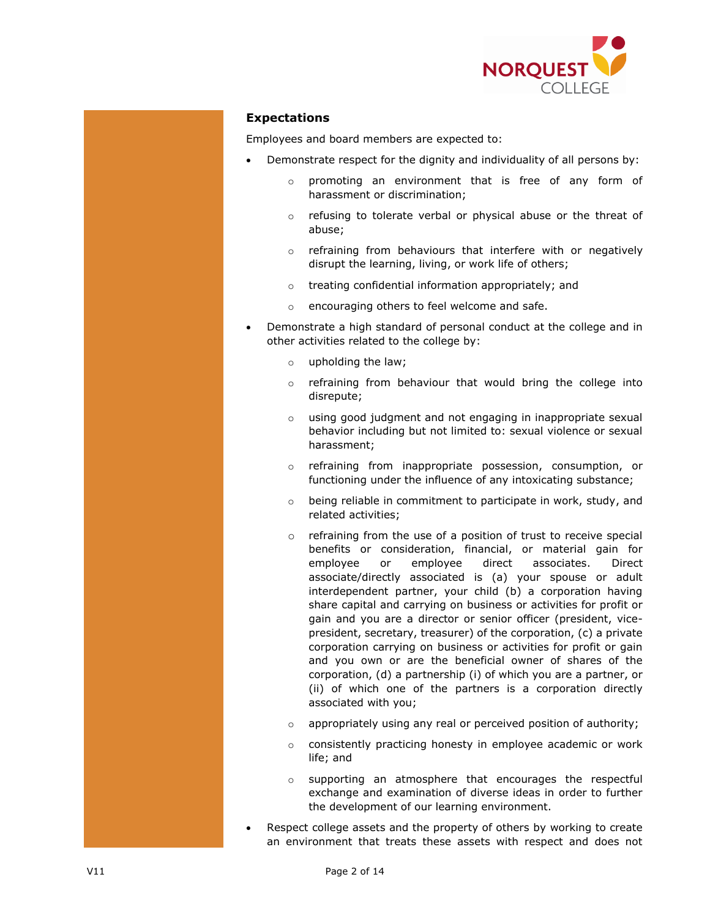

# **Expectations**

Employees and board members are expected to:

- Demonstrate respect for the dignity and individuality of all persons by:
	- o promoting an environment that is free of any form of harassment or discrimination;
	- o refusing to tolerate verbal or physical abuse or the threat of abuse;
	- o refraining from behaviours that interfere with or negatively disrupt the learning, living, or work life of others;
	- o treating confidential information appropriately; and
	- o encouraging others to feel welcome and safe.
- Demonstrate a high standard of personal conduct at the college and in other activities related to the college by:
	- o upholding the law;
	- o refraining from behaviour that would bring the college into disrepute;
	- o using good judgment and not engaging in inappropriate sexual behavior including but not limited to: sexual violence or sexual harassment;
	- o refraining from inappropriate possession, consumption, or functioning under the influence of any intoxicating substance;
	- o being reliable in commitment to participate in work, study, and related activities;
	- o refraining from the use of a position of trust to receive special benefits or consideration, financial, or material gain for employee or employee direct associates. Direct associate/directly associated is (a) your spouse or adult interdependent partner, your child (b) a corporation having share capital and carrying on business or activities for profit or gain and you are a director or senior officer (president, vicepresident, secretary, treasurer) of the corporation, (c) a private corporation carrying on business or activities for profit or gain and you own or are the beneficial owner of shares of the corporation, (d) a partnership (i) of which you are a partner, or (ii) of which one of the partners is a corporation directly associated with you;
	- $\circ$  appropriately using any real or perceived position of authority;
	- o consistently practicing honesty in employee academic or work life; and
	- o supporting an atmosphere that encourages the respectful exchange and examination of diverse ideas in order to further the development of our learning environment.
- Respect college assets and the property of others by working to create an environment that treats these assets with respect and does not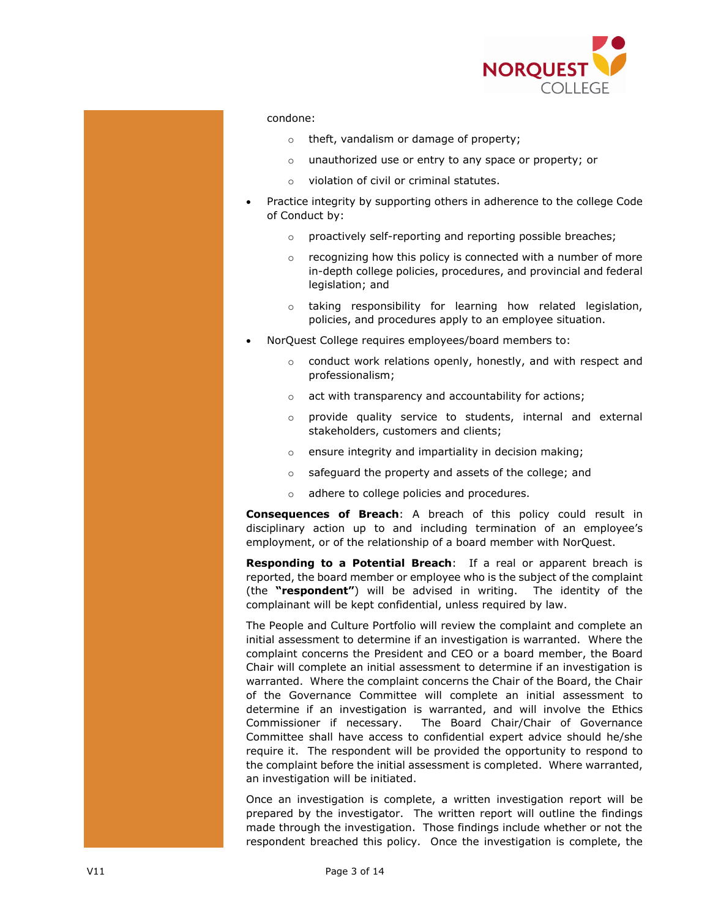

### condone:

- o theft, vandalism or damage of property;
- o unauthorized use or entry to any space or property; or
- o violation of civil or criminal statutes.
- Practice integrity by supporting others in adherence to the college Code of Conduct by:
	- o proactively self-reporting and reporting possible breaches;
	- $\circ$  recognizing how this policy is connected with a number of more in-depth college policies, procedures, and provincial and federal legislation; and
	- o taking responsibility for learning how related legislation, policies, and procedures apply to an employee situation.
- NorQuest College requires employees/board members to:
	- o conduct work relations openly, honestly, and with respect and professionalism;
	- o act with transparency and accountability for actions;
	- o provide quality service to students, internal and external stakeholders, customers and clients;
	- o ensure integrity and impartiality in decision making;
	- o safeguard the property and assets of the college; and
	- o adhere to college policies and procedures.

**Consequences of Breach**: A breach of this policy could result in disciplinary action up to and including termination of an employee's employment, or of the relationship of a board member with NorQuest.

**Responding to a Potential Breach**: If a real or apparent breach is reported, the board member or employee who is the subject of the complaint (the **"respondent"**) will be advised in writing. The identity of the complainant will be kept confidential, unless required by law.

The People and Culture Portfolio will review the complaint and complete an initial assessment to determine if an investigation is warranted. Where the complaint concerns the President and CEO or a board member, the Board Chair will complete an initial assessment to determine if an investigation is warranted. Where the complaint concerns the Chair of the Board, the Chair of the Governance Committee will complete an initial assessment to determine if an investigation is warranted, and will involve the Ethics Commissioner if necessary. The Board Chair/Chair of Governance Committee shall have access to confidential expert advice should he/she require it. The respondent will be provided the opportunity to respond to the complaint before the initial assessment is completed. Where warranted, an investigation will be initiated.

Once an investigation is complete, a written investigation report will be prepared by the investigator. The written report will outline the findings made through the investigation. Those findings include whether or not the respondent breached this policy. Once the investigation is complete, the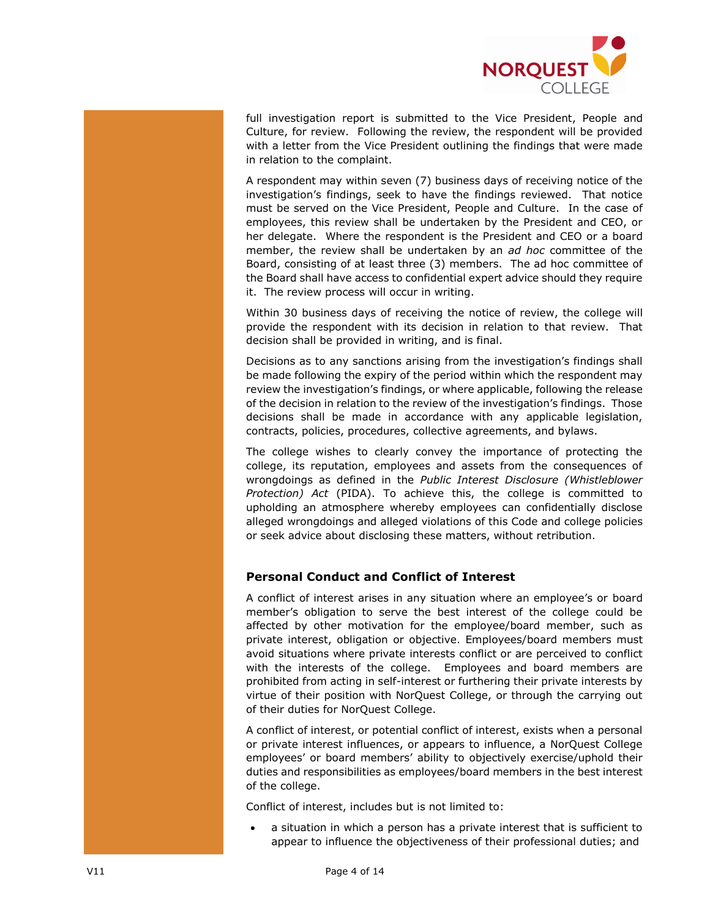

full investigation report is submitted to the Vice President, People and Culture, for review. Following the review, the respondent will be provided with a letter from the Vice President outlining the findings that were made in relation to the complaint.

A respondent may within seven (7) business days of receiving notice of the investigation's findings, seek to have the findings reviewed. That notice must be served on the Vice President, People and Culture. In the case of employees, this review shall be undertaken by the President and CEO, or her delegate. Where the respondent is the President and CEO or a board member, the review shall be undertaken by an *ad hoc* committee of the Board, consisting of at least three (3) members. The ad hoc committee of the Board shall have access to confidential expert advice should they require it. The review process will occur in writing.

Within 30 business days of receiving the notice of review, the college will provide the respondent with its decision in relation to that review. That decision shall be provided in writing, and is final.

Decisions as to any sanctions arising from the investigation's findings shall be made following the expiry of the period within which the respondent may review the investigation's findings, or where applicable, following the release of the decision in relation to the review of the investigation's findings. Those decisions shall be made in accordance with any applicable legislation, contracts, policies, procedures, collective agreements, and bylaws.

The college wishes to clearly convey the importance of protecting the college, its reputation, employees and assets from the consequences of wrongdoings as defined in the *Public Interest Disclosure (Whistleblower Protection) Act* (PIDA). To achieve this, the college is committed to upholding an atmosphere whereby employees can confidentially disclose alleged wrongdoings and alleged violations of this Code and college policies or seek advice about disclosing these matters, without retribution.

# **Personal Conduct and Conflict of Interest**

A conflict of interest arises in any situation where an employee's or board member's obligation to serve the best interest of the college could be affected by other motivation for the employee/board member, such as private interest, obligation or objective. Employees/board members must avoid situations where private interests conflict or are perceived to conflict with the interests of the college. Employees and board members are prohibited from acting in self-interest or furthering their private interests by virtue of their position with NorQuest College, or through the carrying out of their duties for NorQuest College.

A conflict of interest, or potential conflict of interest, exists when a personal or private interest influences, or appears to influence, a NorQuest College employees' or board members' ability to objectively exercise/uphold their duties and responsibilities as employees/board members in the best interest of the college.

Conflict of interest, includes but is not limited to:

a situation in which a person has a private interest that is sufficient to appear to influence the objectiveness of their professional duties; and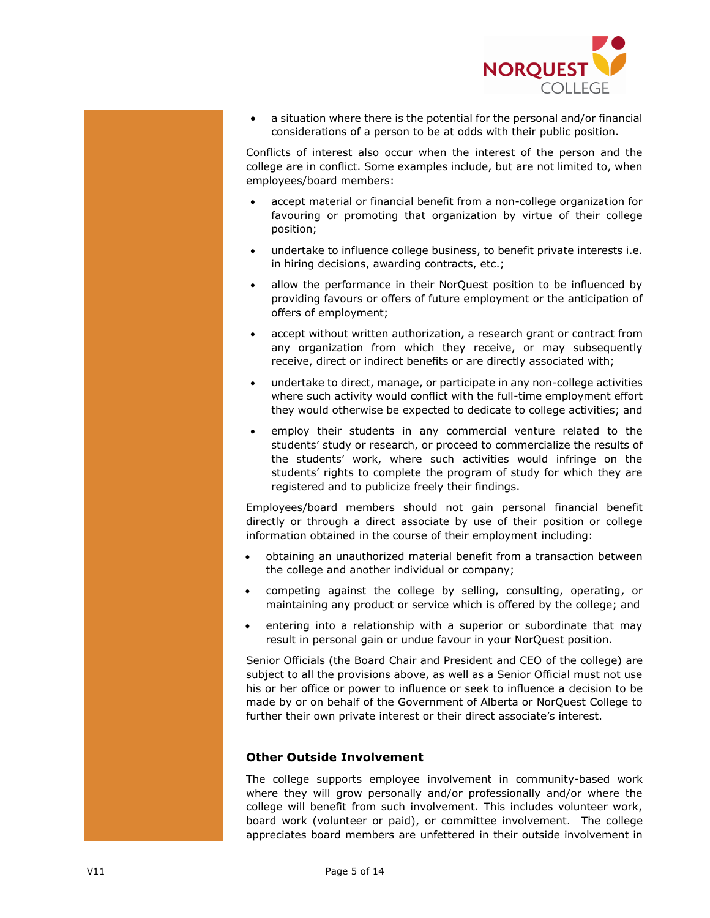

• a situation where there is the potential for the personal and/or financial considerations of a person to be at odds with their public position.

Conflicts of interest also occur when the interest of the person and the college are in conflict. Some examples include, but are not limited to, when employees/board members:

- accept material or financial benefit from a non-college organization for favouring or promoting that organization by virtue of their college position;
- undertake to influence college business, to benefit private interests i.e. in hiring decisions, awarding contracts, etc.;
- allow the performance in their NorQuest position to be influenced by providing favours or offers of future employment or the anticipation of offers of employment;
- accept without written authorization, a research grant or contract from any organization from which they receive, or may subsequently receive, direct or indirect benefits or are directly associated with;
- undertake to direct, manage, or participate in any non-college activities where such activity would conflict with the full-time employment effort they would otherwise be expected to dedicate to college activities; and
- employ their students in any commercial venture related to the students' study or research, or proceed to commercialize the results of the students' work, where such activities would infringe on the students' rights to complete the program of study for which they are registered and to publicize freely their findings.

Employees/board members should not gain personal financial benefit directly or through a direct associate by use of their position or college information obtained in the course of their employment including:

- obtaining an unauthorized material benefit from a transaction between the college and another individual or company;
- competing against the college by selling, consulting, operating, or maintaining any product or service which is offered by the college; and
- entering into a relationship with a superior or subordinate that may result in personal gain or undue favour in your NorQuest position.

Senior Officials (the Board Chair and President and CEO of the college) are subject to all the provisions above, as well as a Senior Official must not use his or her office or power to influence or seek to influence a decision to be made by or on behalf of the Government of Alberta or NorQuest College to further their own private interest or their direct associate's interest.

## **Other Outside Involvement**

The college supports employee involvement in community-based work where they will grow personally and/or professionally and/or where the college will benefit from such involvement. This includes volunteer work, board work (volunteer or paid), or committee involvement. The college appreciates board members are unfettered in their outside involvement in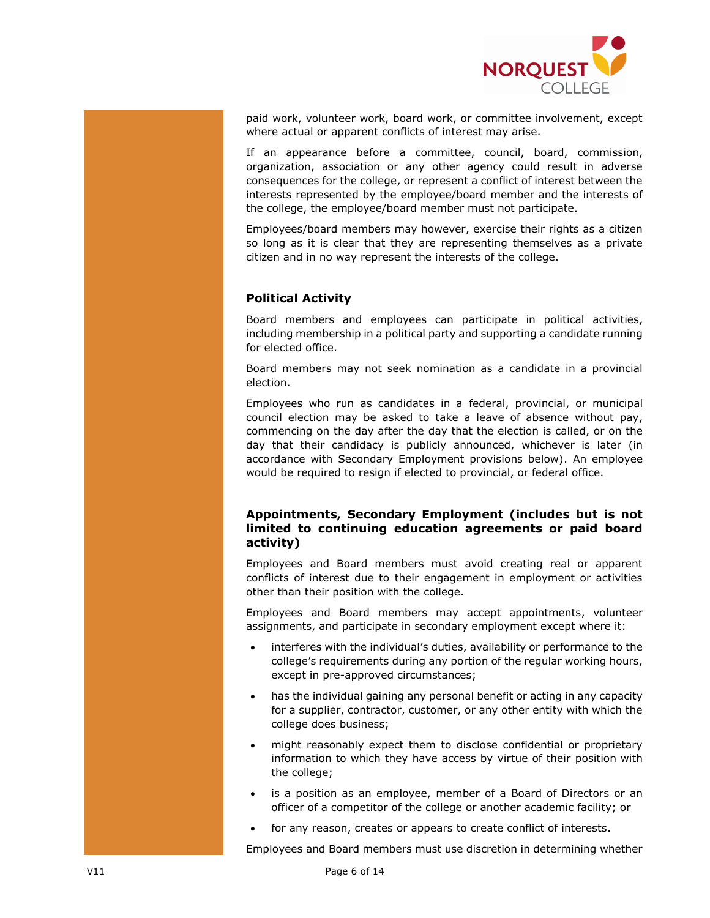

paid work, volunteer work, board work, or committee involvement, except where actual or apparent conflicts of interest may arise.

If an appearance before a committee, council, board, commission, organization, association or any other agency could result in adverse consequences for the college, or represent a conflict of interest between the interests represented by the employee/board member and the interests of the college, the employee/board member must not participate.

Employees/board members may however, exercise their rights as a citizen so long as it is clear that they are representing themselves as a private citizen and in no way represent the interests of the college.

# **Political Activity**

Board members and employees can participate in political activities, including membership in a political party and supporting a candidate running for elected office.

Board members may not seek nomination as a candidate in a provincial election.

Employees who run as candidates in a federal, provincial, or municipal council election may be asked to take a leave of absence without pay, commencing on the day after the day that the election is called, or on the day that their candidacy is publicly announced, whichever is later (in accordance with Secondary Employment provisions below). An employee would be required to resign if elected to provincial, or federal office.

# **Appointments, Secondary Employment (includes but is not limited to continuing education agreements or paid board activity)**

Employees and Board members must avoid creating real or apparent conflicts of interest due to their engagement in employment or activities other than their position with the college.

Employees and Board members may accept appointments, volunteer assignments, and participate in secondary employment except where it:

- interferes with the individual's duties, availability or performance to the college's requirements during any portion of the regular working hours, except in pre-approved circumstances;
- has the individual gaining any personal benefit or acting in any capacity for a supplier, contractor, customer, or any other entity with which the college does business;
- might reasonably expect them to disclose confidential or proprietary information to which they have access by virtue of their position with the college;
- is a position as an employee, member of a Board of Directors or an officer of a competitor of the college or another academic facility; or
- for any reason, creates or appears to create conflict of interests.

Employees and Board members must use discretion in determining whether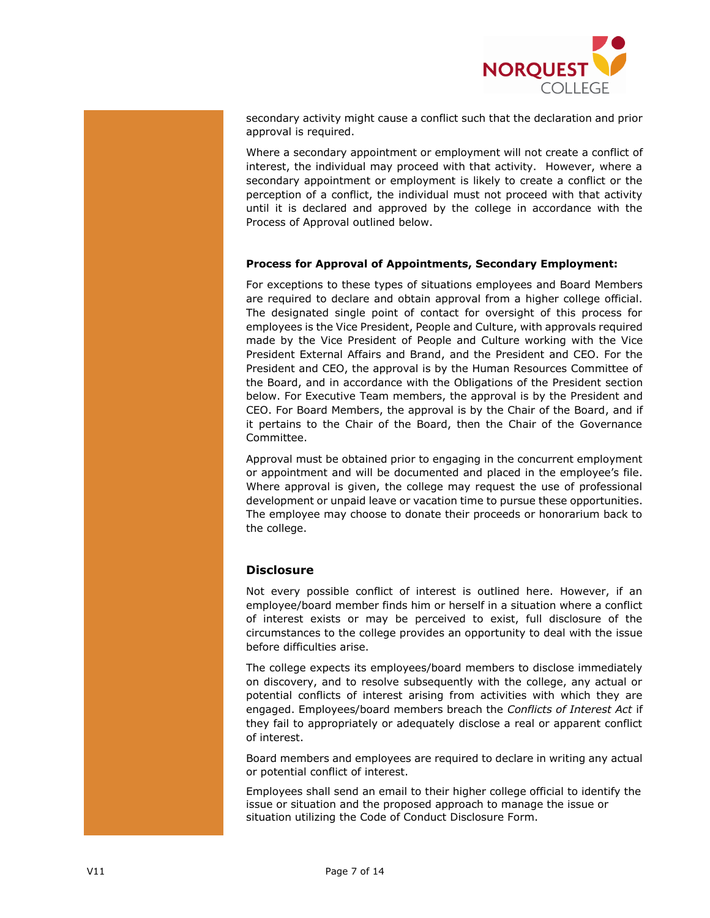

secondary activity might cause a conflict such that the declaration and prior approval is required.

Where a secondary appointment or employment will not create a conflict of interest, the individual may proceed with that activity. However, where a secondary appointment or employment is likely to create a conflict or the perception of a conflict, the individual must not proceed with that activity until it is declared and approved by the college in accordance with the Process of Approval outlined below.

## **Process for Approval of Appointments, Secondary Employment:**

For exceptions to these types of situations employees and Board Members are required to declare and obtain approval from a higher college official. The designated single point of contact for oversight of this process for employees is the Vice President, People and Culture, with approvals required made by the Vice President of People and Culture working with the Vice President External Affairs and Brand, and the President and CEO. For the President and CEO, the approval is by the Human Resources Committee of the Board, and in accordance with the Obligations of the President section below. For Executive Team members, the approval is by the President and CEO. For Board Members, the approval is by the Chair of the Board, and if it pertains to the Chair of the Board, then the Chair of the Governance Committee.

Approval must be obtained prior to engaging in the concurrent employment or appointment and will be documented and placed in the employee's file. Where approval is given, the college may request the use of professional development or unpaid leave or vacation time to pursue these opportunities. The employee may choose to donate their proceeds or honorarium back to the college.

# **Disclosure**

Not every possible conflict of interest is outlined here. However, if an employee/board member finds him or herself in a situation where a conflict of interest exists or may be perceived to exist, full disclosure of the circumstances to the college provides an opportunity to deal with the issue before difficulties arise.

The college expects its employees/board members to disclose immediately on discovery, and to resolve subsequently with the college, any actual or potential conflicts of interest arising from activities with which they are engaged. Employees/board members breach the *Conflicts of Interest Act* if they fail to appropriately or adequately disclose a real or apparent conflict of interest.

Board members and employees are required to declare in writing any actual or potential conflict of interest.

Employees shall send an email to their higher college official to identify the issue or situation and the proposed approach to manage the issue or situation utilizing the Code of Conduct [Disclosure Form.](http://theq.norquest.ca/Departments/WDHR/Public-Documents/Forms/Policy-Complaint-Public-Interest-Disclosure-Report.aspx)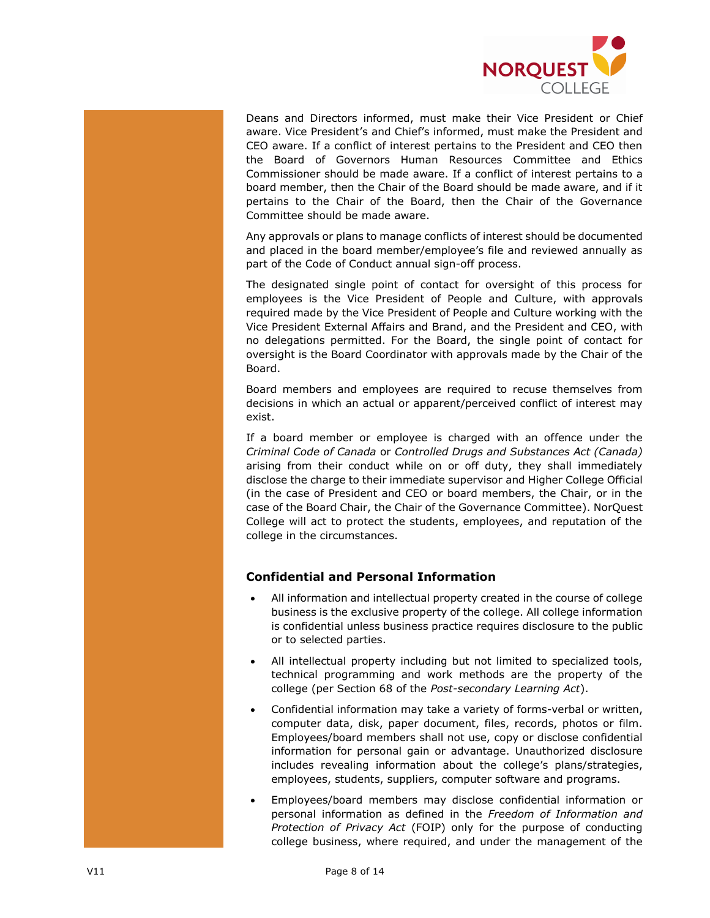

Deans and Directors informed, must make their Vice President or Chief aware. Vice President's and Chief's informed, must make the President and CEO aware. If a conflict of interest pertains to the President and CEO then the Board of Governors Human Resources Committee and Ethics Commissioner should be made aware. If a conflict of interest pertains to a board member, then the Chair of the Board should be made aware, and if it pertains to the Chair of the Board, then the Chair of the Governance Committee should be made aware.

Any approvals or plans to manage conflicts of interest should be documented and placed in the board member/employee's file and reviewed annually as part of the Code of Conduct annual sign-off process.

The designated single point of contact for oversight of this process for employees is the Vice President of People and Culture, with approvals required made by the Vice President of People and Culture working with the Vice President External Affairs and Brand, and the President and CEO, with no delegations permitted. For the Board, the single point of contact for oversight is the Board Coordinator with approvals made by the Chair of the Board.

Board members and employees are required to recuse themselves from decisions in which an actual or apparent/perceived conflict of interest may exist.

If a board member or employee is charged with an offence under the *Criminal Code of Canada* or *Controlled Drugs and Substances Act (Canada)* arising from their conduct while on or off duty, they shall immediately disclose the charge to their immediate supervisor and Higher College Official (in the case of President and CEO or board members, the Chair, or in the case of the Board Chair, the Chair of the Governance Committee). NorQuest College will act to protect the students, employees, and reputation of the college in the circumstances.

# **Confidential and Personal Information**

- All information and intellectual property created in the course of college business is the exclusive property of the college. All college information is confidential unless business practice requires disclosure to the public or to selected parties.
- All intellectual property including but not limited to specialized tools, technical programming and work methods are the property of the college (per Section 68 of the *Post-secondary Learning Act*).
- Confidential information may take a variety of forms-verbal or written, computer data, disk, paper document, files, records, photos or film. Employees/board members shall not use, copy or disclose confidential information for personal gain or advantage. Unauthorized disclosure includes revealing information about the college's plans/strategies, employees, students, suppliers, computer software and programs.
- Employees/board members may disclose confidential information or personal information as defined in the *Freedom of Information and Protection of Privacy Act* (FOIP) only for the purpose of conducting college business, where required, and under the management of the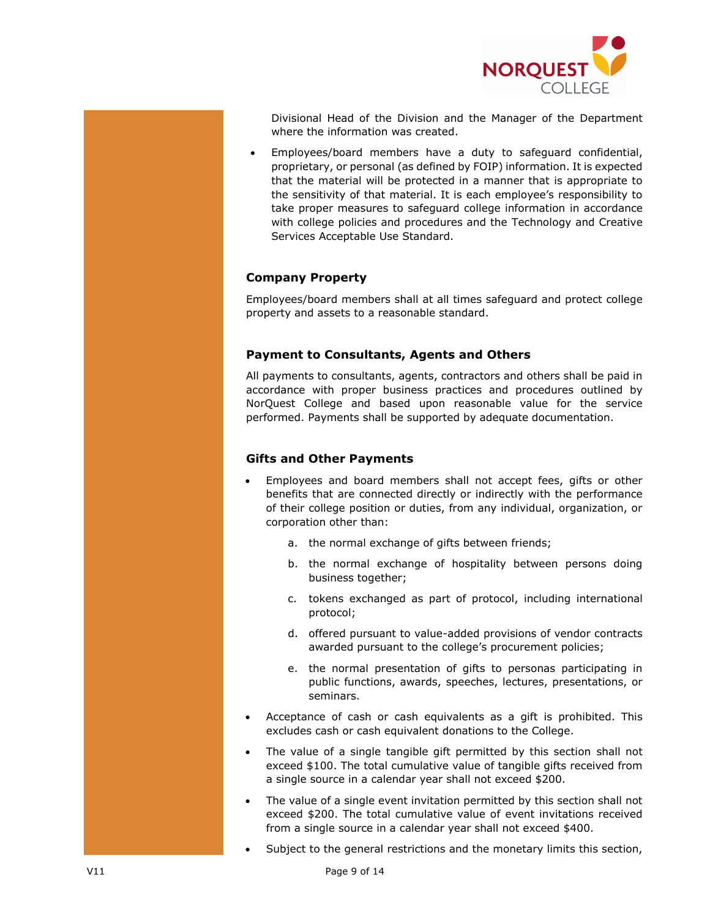

Divisional Head of the Division and the Manager of the Department where the information was created.

• Employees/board members have a duty to safeguard confidential, proprietary, or personal (as defined by FOIP) information. It is expected that the material will be protected in a manner that is appropriate to the sensitivity of that material. It is each employee's responsibility to take proper measures to safeguard college information in accordance with college policies and procedures and the Technology and Creative Services Acceptable Use Standard.

# **Company Property**

Employees/board members shall at all times safeguard and protect college property and assets to a reasonable standard.

## **Payment to Consultants, Agents and Others**

All payments to consultants, agents, contractors and others shall be paid in accordance with proper business practices and procedures outlined by NorQuest College and based upon reasonable value for the service performed. Payments shall be supported by adequate documentation.

## **Gifts and Other Payments**

- Employees and board members shall not accept fees, gifts or other benefits that are connected directly or indirectly with the performance of their college position or duties, from any individual, organization, or corporation other than:
	- a. the normal exchange of gifts between friends;
	- b. the normal exchange of hospitality between persons doing business together;
	- c. tokens exchanged as part of protocol, including international protocol;
	- d. offered pursuant to value-added provisions of vendor contracts awarded pursuant to the college's procurement policies;
	- e. the normal presentation of gifts to personas participating in public functions, awards, speeches, lectures, presentations, or seminars.
- Acceptance of cash or cash equivalents as a gift is prohibited. This excludes cash or cash equivalent donations to the College.
- The value of a single tangible gift permitted by this section shall not exceed \$100. The total cumulative value of tangible gifts received from a single source in a calendar year shall not exceed \$200.
- The value of a single event invitation permitted by this section shall not exceed \$200. The total cumulative value of event invitations received from a single source in a calendar year shall not exceed \$400.
- Subject to the general restrictions and the monetary limits this section,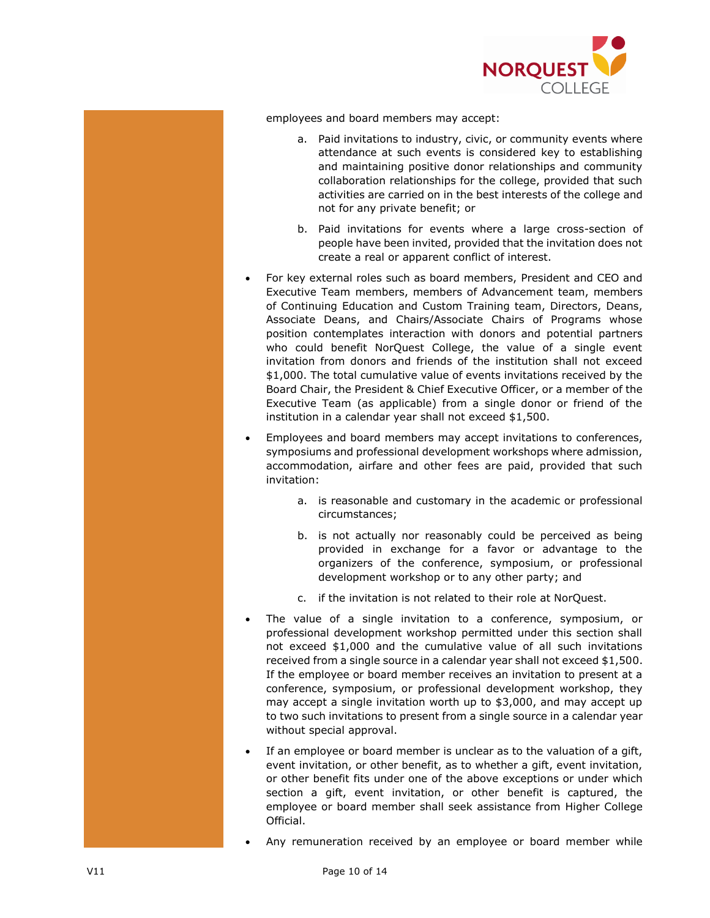

employees and board members may accept:

- a. Paid invitations to industry, civic, or community events where attendance at such events is considered key to establishing and maintaining positive donor relationships and community collaboration relationships for the college, provided that such activities are carried on in the best interests of the college and not for any private benefit; or
- b. Paid invitations for events where a large cross-section of people have been invited, provided that the invitation does not create a real or apparent conflict of interest.
- For key external roles such as board members, President and CEO and Executive Team members, members of Advancement team, members of Continuing Education and Custom Training team, Directors, Deans, Associate Deans, and Chairs/Associate Chairs of Programs whose position contemplates interaction with donors and potential partners who could benefit NorQuest College, the value of a single event invitation from donors and friends of the institution shall not exceed \$1,000. The total cumulative value of events invitations received by the Board Chair, the President & Chief Executive Officer, or a member of the Executive Team (as applicable) from a single donor or friend of the institution in a calendar year shall not exceed \$1,500.
- Employees and board members may accept invitations to conferences, symposiums and professional development workshops where admission, accommodation, airfare and other fees are paid, provided that such invitation:
	- a. is reasonable and customary in the academic or professional circumstances;
	- b. is not actually nor reasonably could be perceived as being provided in exchange for a favor or advantage to the organizers of the conference, symposium, or professional development workshop or to any other party; and
	- c. if the invitation is not related to their role at NorQuest.
- The value of a single invitation to a conference, symposium, or professional development workshop permitted under this section shall not exceed \$1,000 and the cumulative value of all such invitations received from a single source in a calendar year shall not exceed \$1,500. If the employee or board member receives an invitation to present at a conference, symposium, or professional development workshop, they may accept a single invitation worth up to \$3,000, and may accept up to two such invitations to present from a single source in a calendar year without special approval.
- If an employee or board member is unclear as to the valuation of a gift, event invitation, or other benefit, as to whether a gift, event invitation, or other benefit fits under one of the above exceptions or under which section a gift, event invitation, or other benefit is captured, the employee or board member shall seek assistance from Higher College Official.
- Any remuneration received by an employee or board member while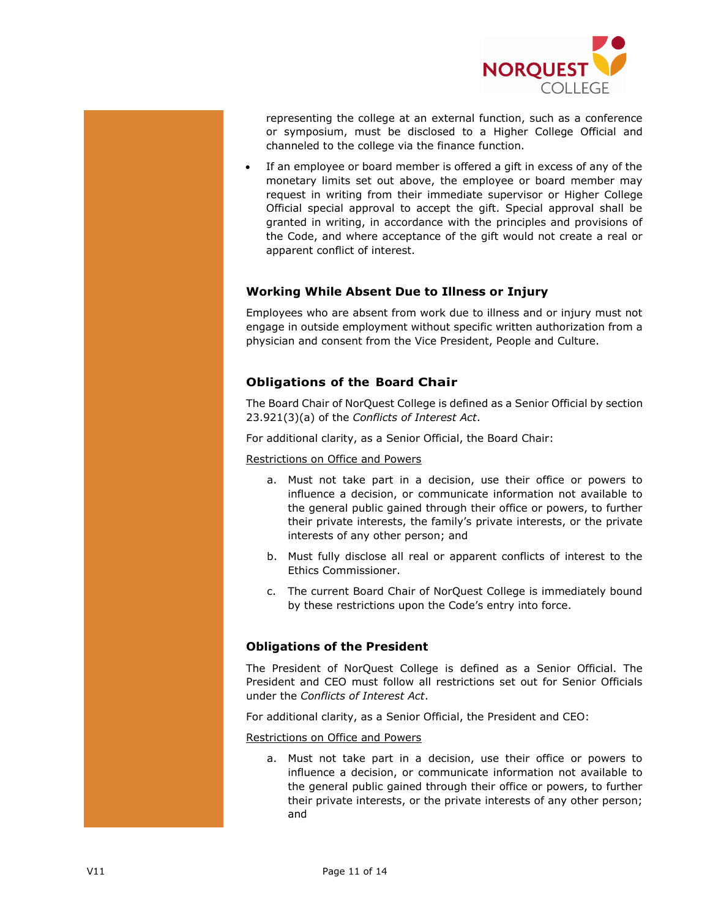

representing the college at an external function, such as a conference or symposium, must be disclosed to a Higher College Official and channeled to the college via the finance function.

If an employee or board member is offered a gift in excess of any of the monetary limits set out above, the employee or board member may request in writing from their immediate supervisor or Higher College Official special approval to accept the gift. Special approval shall be granted in writing, in accordance with the principles and provisions of the Code, and where acceptance of the gift would not create a real or apparent conflict of interest.

# **Working While Absent Due to Illness or Injury**

Employees who are absent from work due to illness and or injury must not engage in outside employment without specific written authorization from a physician and consent from the Vice President, People and Culture.

# **Obligations of the Board Chair**

The Board Chair of NorQuest College is defined as a Senior Official by section 23.921(3)(a) of the *Conflicts of Interest Act*.

For additional clarity, as a Senior Official, the Board Chair:

## Restrictions on Office and Powers

- a. Must not take part in a decision, use their office or powers to influence a decision, or communicate information not available to the general public gained through their office or powers, to further their private interests, the family's private interests, or the private interests of any other person; and
- b. Must fully disclose all real or apparent conflicts of interest to the Ethics Commissioner.
- c. The current Board Chair of NorQuest College is immediately bound by these restrictions upon the Code's entry into force.

# **Obligations of the President**

The President of NorQuest College is defined as a Senior Official. The President and CEO must follow all restrictions set out for Senior Officials under the *Conflicts of Interest Act*.

For additional clarity, as a Senior Official, the President and CEO:

#### Restrictions on Office and Powers

a. Must not take part in a decision, use their office or powers to influence a decision, or communicate information not available to the general public gained through their office or powers, to further their private interests, or the private interests of any other person; and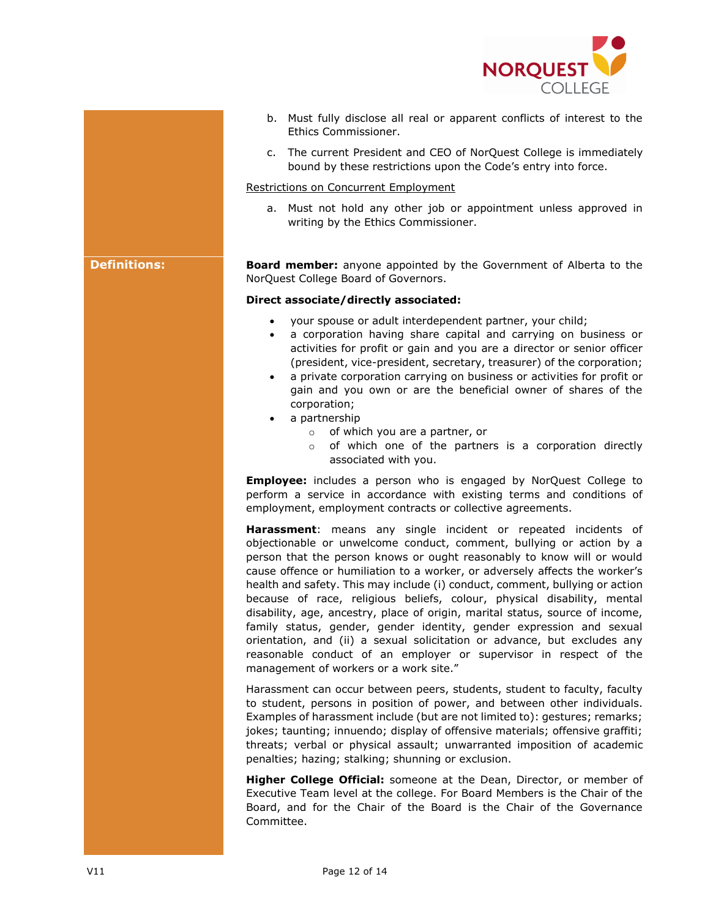

- b. Must fully disclose all real or apparent conflicts of interest to the Ethics Commissioner.
- c. The current President and CEO of NorQuest College is immediately bound by these restrictions upon the Code's entry into force.

### Restrictions on Concurrent Employment

a. Must not hold any other job or appointment unless approved in writing by the Ethics Commissioner.

**Definitions: Board member:** anyone appointed by the Government of Alberta to the NorQuest College Board of Governors.

#### **Direct associate/directly associated:**

- your spouse or adult interdependent partner, your child;
- a corporation having share capital and carrying on business or activities for profit or gain and you are a director or senior officer (president, vice-president, secretary, treasurer) of the corporation;
- a private corporation carrying on business or activities for profit or gain and you own or are the beneficial owner of shares of the corporation;
- a partnership
	- o of which you are a partner, or
	- o of which one of the partners is a corporation directly associated with you.

**Employee:** includes a person who is engaged by NorQuest College to perform a service in accordance with existing terms and conditions of employment, employment contracts or collective agreements.

**Harassment**: means any single incident or repeated incidents of objectionable or unwelcome conduct, comment, bullying or action by a person that the person knows or ought reasonably to know will or would cause offence or humiliation to a worker, or adversely affects the worker's health and safety. This may include (i) conduct, comment, bullying or action because of race, religious beliefs, colour, physical disability, mental disability, age, ancestry, place of origin, marital status, source of income, family status, gender, gender identity, gender expression and sexual orientation, and (ii) a sexual solicitation or advance, but excludes any reasonable conduct of an employer or supervisor in respect of the management of workers or a work site."

Harassment can occur between peers, students, student to faculty, faculty to student, persons in position of power, and between other individuals. Examples of harassment include (but are not limited to): gestures; remarks; jokes; taunting; innuendo; display of offensive materials; offensive graffiti; threats; verbal or physical assault; unwarranted imposition of academic penalties; hazing; stalking; shunning or exclusion.

**Higher College Official:** someone at the Dean, Director, or member of Executive Team level at the college. For Board Members is the Chair of the Board, and for the Chair of the Board is the Chair of the Governance Committee.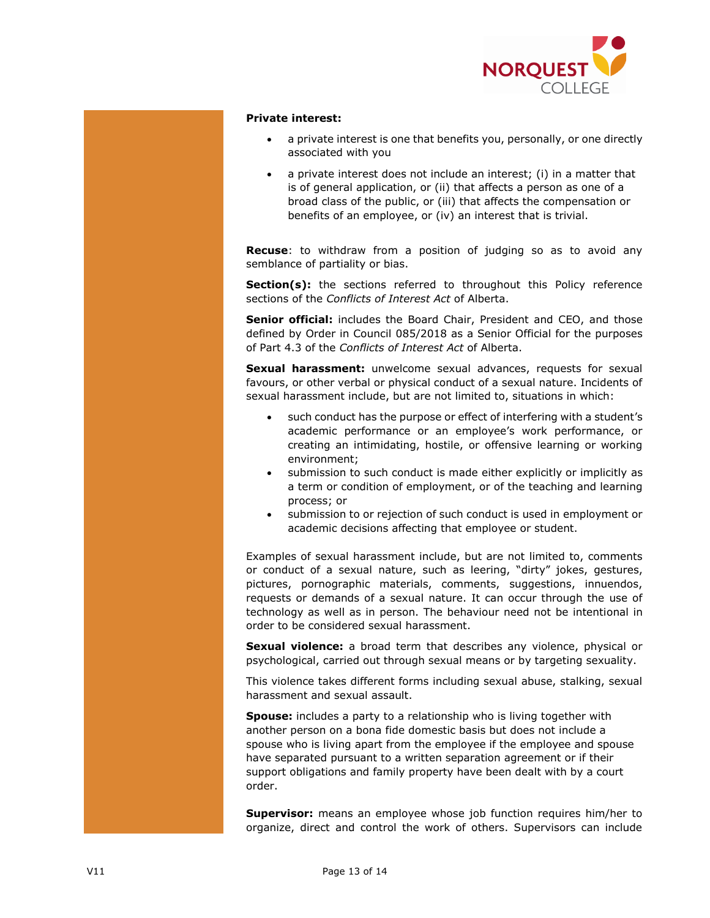

## **Private interest:**

- a private interest is one that benefits you, personally, or one directly associated with you
- a private interest does not include an interest; (i) in a matter that is of general application, or (ii) that affects a person as one of a broad class of the public, or (iii) that affects the compensation or benefits of an employee, or (iv) an interest that is trivial.

**Recuse**: to withdraw from a position of judging so as to avoid any semblance of partiality or bias.

**Section(s):** the sections referred to throughout this Policy reference sections of the *Conflicts of Interest Act* of Alberta.

Senior official: includes the Board Chair, President and CEO, and those defined by Order in Council 085/2018 as a Senior Official for the purposes of Part 4.3 of the *Conflicts of Interest Act* of Alberta.

**Sexual harassment:** unwelcome sexual advances, requests for sexual favours, or other verbal or physical conduct of a sexual nature. Incidents of sexual harassment include, but are not limited to, situations in which:

- such conduct has the purpose or effect of interfering with a student's academic performance or an employee's work performance, or creating an intimidating, hostile, or offensive learning or working environment;
- submission to such conduct is made either explicitly or implicitly as a term or condition of employment, or of the teaching and learning process; or
- submission to or rejection of such conduct is used in employment or academic decisions affecting that employee or student.

Examples of sexual harassment include, but are not limited to, comments or conduct of a sexual nature, such as leering, "dirty" jokes, gestures, pictures, pornographic materials, comments, suggestions, innuendos, requests or demands of a sexual nature. It can occur through the use of technology as well as in person. The behaviour need not be intentional in order to be considered sexual harassment.

**Sexual violence:** a broad term that describes any violence, physical or psychological, carried out through sexual means or by targeting sexuality.

This violence takes different forms including sexual abuse, stalking, sexual harassment and sexual assault.

**Spouse:** includes a party to a relationship who is living together with another person on a bona fide domestic basis but does not include a spouse who is living apart from the employee if the employee and spouse have separated pursuant to a written separation agreement or if their support obligations and family property have been dealt with by a court order.

**Supervisor:** means an employee whose job function requires him/her to organize, direct and control the work of others. Supervisors can include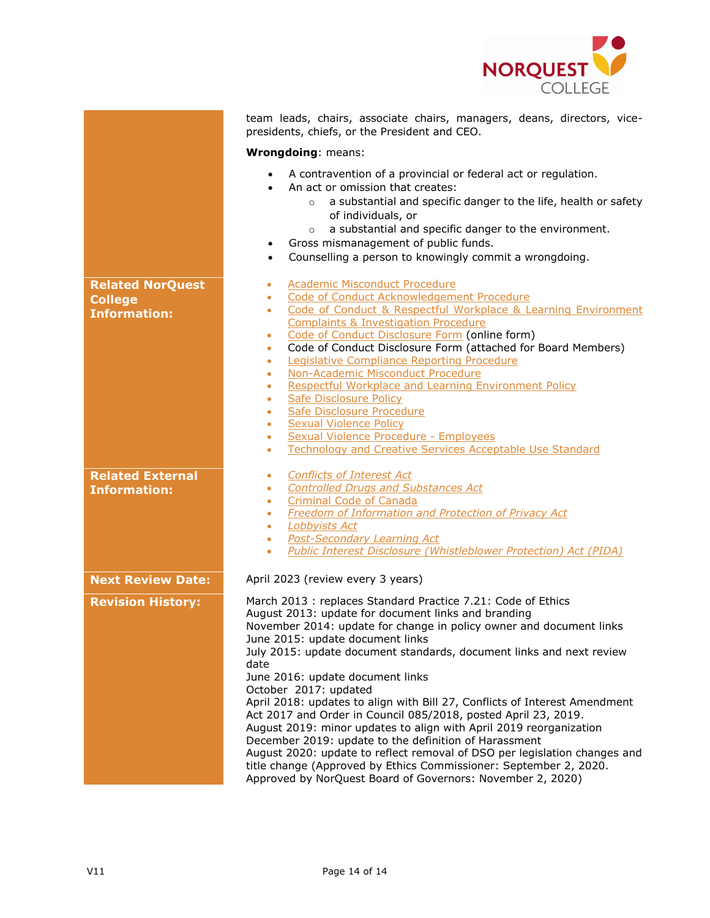

|                                                | team leads, chairs, associate chairs, managers, deans, directors, vice-<br>presidents, chiefs, or the President and CEO.                                                                                                                                                                                                                                                                                                                                                                                                                                                                                                                                                                                                                                                                                                                                                   |  |  |  |
|------------------------------------------------|----------------------------------------------------------------------------------------------------------------------------------------------------------------------------------------------------------------------------------------------------------------------------------------------------------------------------------------------------------------------------------------------------------------------------------------------------------------------------------------------------------------------------------------------------------------------------------------------------------------------------------------------------------------------------------------------------------------------------------------------------------------------------------------------------------------------------------------------------------------------------|--|--|--|
|                                                | Wrongdoing: means:                                                                                                                                                                                                                                                                                                                                                                                                                                                                                                                                                                                                                                                                                                                                                                                                                                                         |  |  |  |
|                                                | A contravention of a provincial or federal act or regulation.<br>An act or omission that creates:<br>a substantial and specific danger to the life, health or safety<br>$\circ$<br>of individuals, or<br>a substantial and specific danger to the environment.<br>$\circ$<br>Gross mismanagement of public funds.<br>$\bullet$<br>Counselling a person to knowingly commit a wrongdoing.<br>$\bullet$                                                                                                                                                                                                                                                                                                                                                                                                                                                                      |  |  |  |
| <b>Related NorQuest</b>                        | <b>Academic Misconduct Procedure</b><br>۰                                                                                                                                                                                                                                                                                                                                                                                                                                                                                                                                                                                                                                                                                                                                                                                                                                  |  |  |  |
| <b>College</b>                                 | Code of Conduct Acknowledgement Procedure<br>٠                                                                                                                                                                                                                                                                                                                                                                                                                                                                                                                                                                                                                                                                                                                                                                                                                             |  |  |  |
| <b>Information:</b>                            | Code of Conduct & Respectful Workplace & Learning Environment<br>٠<br><b>Complaints &amp; Investigation Procedure</b>                                                                                                                                                                                                                                                                                                                                                                                                                                                                                                                                                                                                                                                                                                                                                      |  |  |  |
|                                                | Code of Conduct Disclosure Form (online form)<br>۰                                                                                                                                                                                                                                                                                                                                                                                                                                                                                                                                                                                                                                                                                                                                                                                                                         |  |  |  |
|                                                | Code of Conduct Disclosure Form (attached for Board Members)<br>$\bullet$                                                                                                                                                                                                                                                                                                                                                                                                                                                                                                                                                                                                                                                                                                                                                                                                  |  |  |  |
|                                                | Legislative Compliance Reporting Procedure<br>۰                                                                                                                                                                                                                                                                                                                                                                                                                                                                                                                                                                                                                                                                                                                                                                                                                            |  |  |  |
|                                                | Non-Academic Misconduct Procedure<br>$\bullet$                                                                                                                                                                                                                                                                                                                                                                                                                                                                                                                                                                                                                                                                                                                                                                                                                             |  |  |  |
|                                                | Respectful Workplace and Learning Environment Policy<br>٠                                                                                                                                                                                                                                                                                                                                                                                                                                                                                                                                                                                                                                                                                                                                                                                                                  |  |  |  |
|                                                | Safe Disclosure Policy<br>٠<br>Safe Disclosure Procedure<br>۰                                                                                                                                                                                                                                                                                                                                                                                                                                                                                                                                                                                                                                                                                                                                                                                                              |  |  |  |
|                                                | <b>Sexual Violence Policy</b><br>۰                                                                                                                                                                                                                                                                                                                                                                                                                                                                                                                                                                                                                                                                                                                                                                                                                                         |  |  |  |
|                                                | Sexual Violence Procedure - Employees<br>٠                                                                                                                                                                                                                                                                                                                                                                                                                                                                                                                                                                                                                                                                                                                                                                                                                                 |  |  |  |
|                                                | <b>Technology and Creative Services Acceptable Use Standard</b><br>٠                                                                                                                                                                                                                                                                                                                                                                                                                                                                                                                                                                                                                                                                                                                                                                                                       |  |  |  |
| <b>Related External</b><br><b>Information:</b> | <b>Conflicts of Interest Act</b><br>٠<br><b>Controlled Drugs and Substances Act</b><br>۰<br><b>Criminal Code of Canada</b><br>٠<br><b>Freedom of Information and Protection of Privacy Act</b><br>۰                                                                                                                                                                                                                                                                                                                                                                                                                                                                                                                                                                                                                                                                        |  |  |  |
|                                                | Lobbyists Act<br>$\bullet$                                                                                                                                                                                                                                                                                                                                                                                                                                                                                                                                                                                                                                                                                                                                                                                                                                                 |  |  |  |
|                                                | <b>Post-Secondary Learning Act</b><br>۰                                                                                                                                                                                                                                                                                                                                                                                                                                                                                                                                                                                                                                                                                                                                                                                                                                    |  |  |  |
|                                                | <b>Public Interest Disclosure (Whistleblower Protection) Act (PIDA)</b><br>٠                                                                                                                                                                                                                                                                                                                                                                                                                                                                                                                                                                                                                                                                                                                                                                                               |  |  |  |
| <b>Next Review Date:</b>                       | April 2023 (review every 3 years)                                                                                                                                                                                                                                                                                                                                                                                                                                                                                                                                                                                                                                                                                                                                                                                                                                          |  |  |  |
| <b>Revision History:</b>                       | March 2013 : replaces Standard Practice 7.21: Code of Ethics<br>August 2013: update for document links and branding<br>November 2014: update for change in policy owner and document links<br>June 2015: update document links<br>July 2015: update document standards, document links and next review<br>date<br>June 2016: update document links<br>October 2017: updated<br>April 2018: updates to align with Bill 27, Conflicts of Interest Amendment<br>Act 2017 and Order in Council 085/2018, posted April 23, 2019.<br>August 2019: minor updates to align with April 2019 reorganization<br>December 2019: update to the definition of Harassment<br>August 2020: update to reflect removal of DSO per legislation changes and<br>title change (Approved by Ethics Commissioner: September 2, 2020.<br>Approved by NorQuest Board of Governors: November 2, 2020) |  |  |  |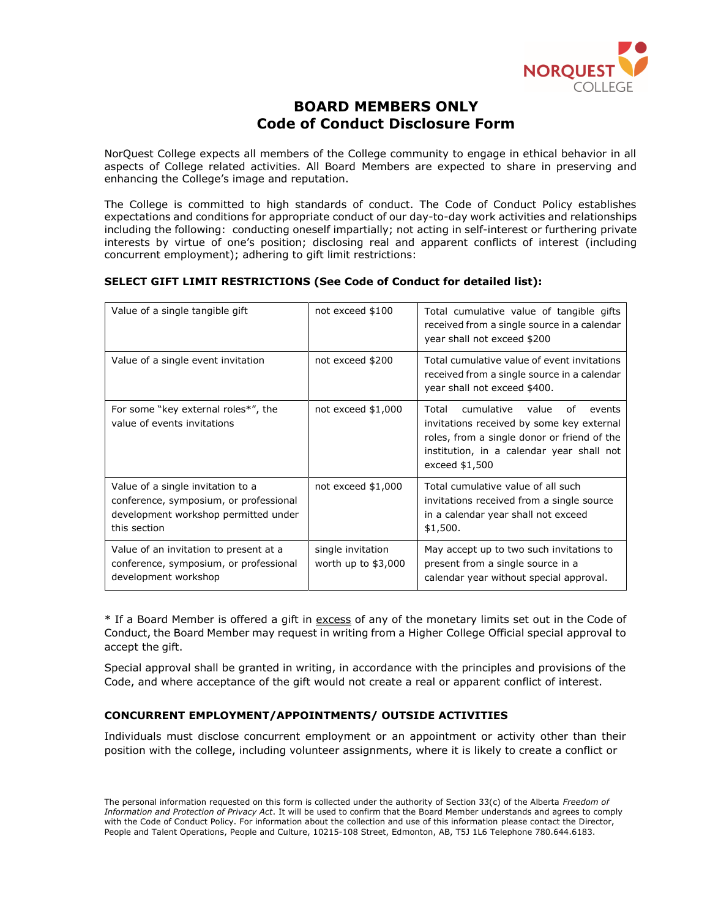

# **BOARD MEMBERS ONLY Code of Conduct Disclosure Form**

NorQuest College expects all members of the College community to engage in ethical behavior in all aspects of College related activities. All Board Members are expected to share in preserving and enhancing the College's image and reputation.

The College is committed to high standards of conduct. The Code of Conduct Policy establishes expectations and conditions for appropriate conduct of our day-to-day work activities and relationships including the following: conducting oneself impartially; not acting in self-interest or furthering private interests by virtue of one's position; disclosing real and apparent conflicts of interest (including concurrent employment); adhering to gift limit restrictions:

## **SELECT GIFT LIMIT RESTRICTIONS (See Code of Conduct for detailed list):**

| Value of a single tangible gift                                                                                                     | not exceed \$100                          | Total cumulative value of tangible gifts<br>received from a single source in a calendar<br>year shall not exceed \$200                                                                                  |
|-------------------------------------------------------------------------------------------------------------------------------------|-------------------------------------------|---------------------------------------------------------------------------------------------------------------------------------------------------------------------------------------------------------|
| Value of a single event invitation                                                                                                  | not exceed \$200                          | Total cumulative value of event invitations<br>received from a single source in a calendar<br>year shall not exceed \$400.                                                                              |
| For some "key external roles*", the<br>value of events invitations                                                                  | not exceed $$1,000$                       | cumulative<br>Total<br>value<br>of<br>events<br>invitations received by some key external<br>roles, from a single donor or friend of the<br>institution, in a calendar year shall not<br>exceed \$1,500 |
| Value of a single invitation to a<br>conference, symposium, or professional<br>development workshop permitted under<br>this section | not exceed $$1,000$                       | Total cumulative value of all such<br>invitations received from a single source<br>in a calendar year shall not exceed<br>\$1,500.                                                                      |
| Value of an invitation to present at a<br>conference, symposium, or professional<br>development workshop                            | single invitation<br>worth up to $$3,000$ | May accept up to two such invitations to<br>present from a single source in a<br>calendar year without special approval.                                                                                |

\* If a Board Member is offered a gift in excess of any of the monetary limits set out in the Code of Conduct, the Board Member may request in writing from a Higher College Official special approval to accept the gift.

Special approval shall be granted in writing, in accordance with the principles and provisions of the Code, and where acceptance of the gift would not create a real or apparent conflict of interest.

## **CONCURRENT EMPLOYMENT/APPOINTMENTS/ OUTSIDE ACTIVITIES**

Individuals must disclose concurrent employment or an appointment or activity other than their position with the college, including volunteer assignments, where it is likely to create a conflict or

The personal information requested on this form is collected under the authority of Section 33(c) of the Alberta *Freedom of Information and Protection of Privacy Act*. It will be used to confirm that the Board Member understands and agrees to comply with the Code of Conduct Policy. For information about the collection and use of this information please contact the Director, People and Talent Operations, People and Culture, 10215-108 Street, Edmonton, AB, T5J 1L6 Telephone 780.644.6183.